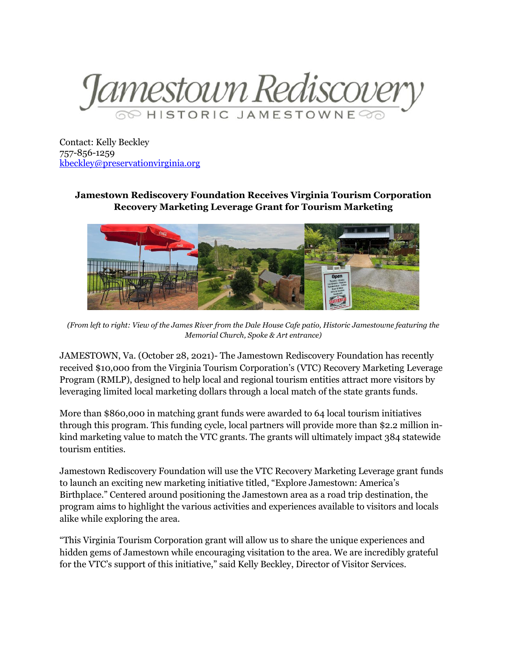

Contact: Kelly Beckley 757-856-1259 [kbeckley@preservationvirginia.org](mailto:kbeckley@preservationvirginia.org)

## **Jamestown Rediscovery Foundation Receives Virginia Tourism Corporation Recovery Marketing Leverage Grant for Tourism Marketing**



*(From left to right: View of the James River from the Dale House Cafe patio, Historic Jamestowne featuring the Memorial Church, Spoke & Art entrance)*

JAMESTOWN, Va. (October 28, 2021)- The Jamestown Rediscovery Foundation has recently received \$10,000 from the Virginia Tourism Corporation's (VTC) Recovery Marketing Leverage Program (RMLP), designed to help local and regional tourism entities attract more visitors by leveraging limited local marketing dollars through a local match of the state grants funds.

More than \$860,000 in matching grant funds were awarded to 64 local tourism initiatives through this program. This funding cycle, local partners will provide more than \$2.2 million inkind marketing value to match the VTC grants. The grants will ultimately impact 384 statewide tourism entities.

Jamestown Rediscovery Foundation will use the VTC Recovery Marketing Leverage grant funds to launch an exciting new marketing initiative titled, "Explore Jamestown: America's Birthplace." Centered around positioning the Jamestown area as a road trip destination, the program aims to highlight the various activities and experiences available to visitors and locals alike while exploring the area.

"This Virginia Tourism Corporation grant will allow us to share the unique experiences and hidden gems of Jamestown while encouraging visitation to the area. We are incredibly grateful for the VTC's support of this initiative," said Kelly Beckley, Director of Visitor Services.